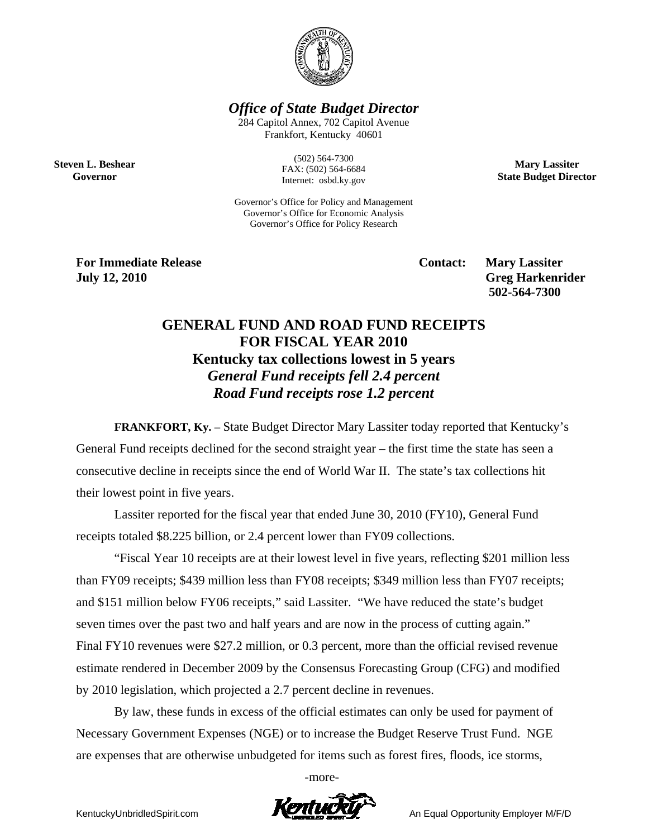

*Office of State Budget Director* 

284 Capitol Annex, 702 Capitol Avenue Frankfort, Kentucky 40601

**Steven L. Beshear Governor** 

(502) 564-7300 FAX: (502) 564-6684 Internet: osbd.ky.gov

Governor's Office for Policy and Management Governor's Office for Economic Analysis Governor's Office for Policy Research

**For Immediate Release Service Service Service Contact: Mary Lassiter July 12, 2010 Greg Harkenrider Greg Harkenrider Greg Harkenrider** 

 **502-564-7300** 

**Mary Lassiter State Budget Director** 

# **GENERAL FUND AND ROAD FUND RECEIPTS FOR FISCAL YEAR 2010 Kentucky tax collections lowest in 5 years**  *General Fund receipts fell 2.4 percent Road Fund receipts rose 1.2 percent*

**FRANKFORT, Ky.** – State Budget Director Mary Lassiter today reported that Kentucky's General Fund receipts declined for the second straight year – the first time the state has seen a consecutive decline in receipts since the end of World War II. The state's tax collections hit their lowest point in five years.

Lassiter reported for the fiscal year that ended June 30, 2010 (FY10), General Fund receipts totaled \$8.225 billion, or 2.4 percent lower than FY09 collections.

 "Fiscal Year 10 receipts are at their lowest level in five years, reflecting \$201 million less than FY09 receipts; \$439 million less than FY08 receipts; \$349 million less than FY07 receipts; and \$151 million below FY06 receipts," said Lassiter. "We have reduced the state's budget seven times over the past two and half years and are now in the process of cutting again." Final FY10 revenues were \$27.2 million, or 0.3 percent, more than the official revised revenue estimate rendered in December 2009 by the Consensus Forecasting Group (CFG) and modified by 2010 legislation, which projected a 2.7 percent decline in revenues.

By law, these funds in excess of the official estimates can only be used for payment of Necessary Government Expenses (NGE) or to increase the Budget Reserve Trust Fund. NGE are expenses that are otherwise unbudgeted for items such as forest fires, floods, ice storms,

-more-

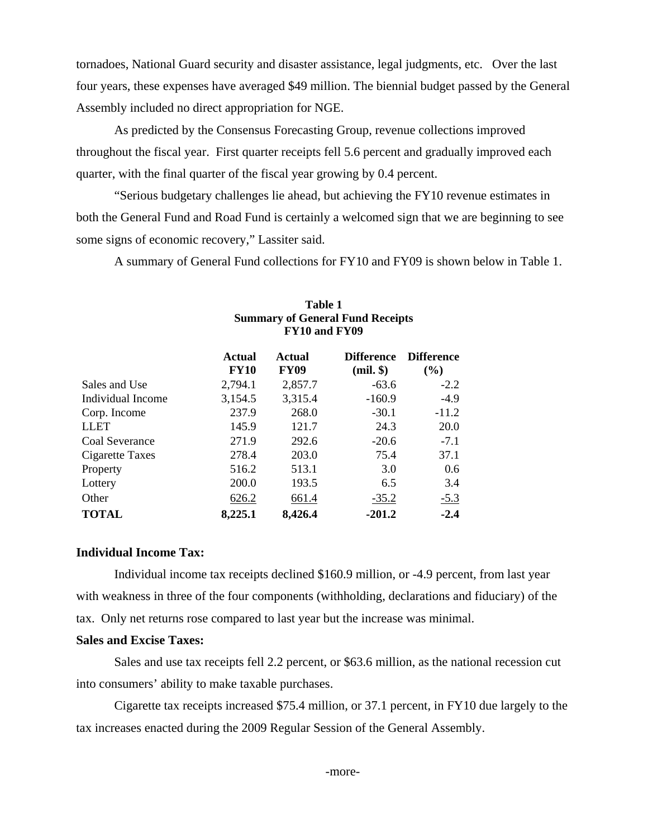tornadoes, National Guard security and disaster assistance, legal judgments, etc. Over the last four years, these expenses have averaged \$49 million. The biennial budget passed by the General Assembly included no direct appropriation for NGE.

 As predicted by the Consensus Forecasting Group, revenue collections improved throughout the fiscal year. First quarter receipts fell 5.6 percent and gradually improved each quarter, with the final quarter of the fiscal year growing by 0.4 percent.

"Serious budgetary challenges lie ahead, but achieving the FY10 revenue estimates in both the General Fund and Road Fund is certainly a welcomed sign that we are beginning to see some signs of economic recovery," Lassiter said.

A summary of General Fund collections for FY10 and FY09 is shown below in Table 1.

|                        | <b>Actual</b><br><b>FY10</b> | <b>Actual</b><br><b>FY09</b> | <b>Difference</b><br>$(mil.$ \$) | <b>Difference</b><br>$($ %) |
|------------------------|------------------------------|------------------------------|----------------------------------|-----------------------------|
| Sales and Use          | 2,794.1                      | 2,857.7                      | $-63.6$                          | $-2.2$                      |
| Individual Income      | 3,154.5                      | 3,315.4                      | $-160.9$                         | $-4.9$                      |
| Corp. Income           | 237.9                        | 268.0                        | $-30.1$                          | $-11.2$                     |
| <b>LLET</b>            | 145.9                        | 121.7                        | 24.3                             | 20.0                        |
| Coal Severance         | 271.9                        | 292.6                        | $-20.6$                          | $-7.1$                      |
| <b>Cigarette Taxes</b> | 278.4                        | 203.0                        | 75.4                             | 37.1                        |
| Property               | 516.2                        | 513.1                        | 3.0                              | 0.6                         |
| Lottery                | 200.0                        | 193.5                        | 6.5                              | 3.4                         |
| Other                  | 626.2                        | 661.4                        | $-35.2$                          | $-5.3$                      |
| <b>TOTAL</b>           | 8,225.1                      | 8,426.4                      | $-201.2$                         | $-2.4$                      |

### **Table 1 Summary of General Fund Receipts FY10 and FY09**

# **Individual Income Tax:**

Individual income tax receipts declined \$160.9 million, or -4.9 percent, from last year with weakness in three of the four components (withholding, declarations and fiduciary) of the tax. Only net returns rose compared to last year but the increase was minimal.

# **Sales and Excise Taxes:**

Sales and use tax receipts fell 2.2 percent, or \$63.6 million, as the national recession cut into consumers' ability to make taxable purchases.

Cigarette tax receipts increased \$75.4 million, or 37.1 percent, in FY10 due largely to the tax increases enacted during the 2009 Regular Session of the General Assembly.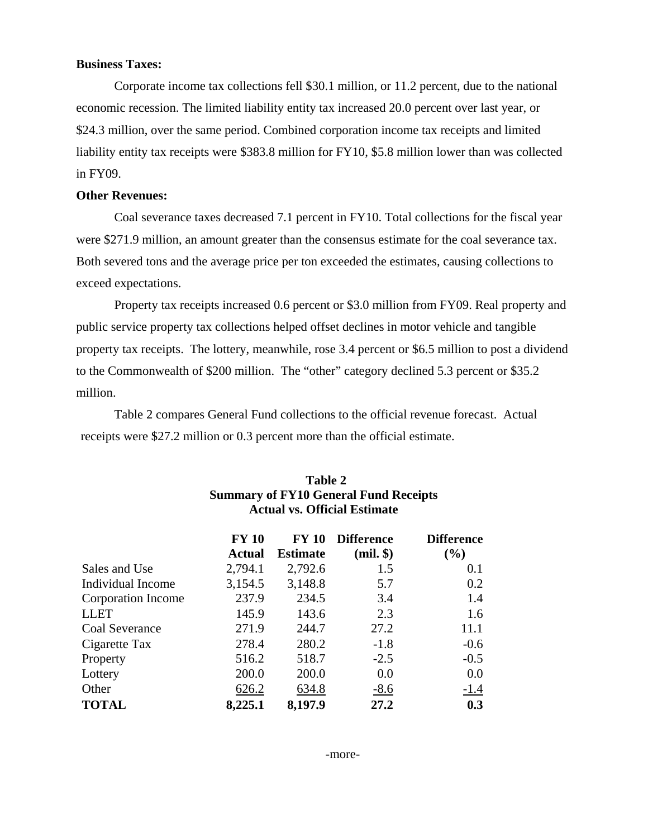# **Business Taxes:**

Corporate income tax collections fell \$30.1 million, or 11.2 percent, due to the national economic recession. The limited liability entity tax increased 20.0 percent over last year, or \$24.3 million, over the same period. Combined corporation income tax receipts and limited liability entity tax receipts were \$383.8 million for FY10, \$5.8 million lower than was collected in FY09.

# **Other Revenues:**

Coal severance taxes decreased 7.1 percent in FY10. Total collections for the fiscal year were \$271.9 million, an amount greater than the consensus estimate for the coal severance tax. Both severed tons and the average price per ton exceeded the estimates, causing collections to exceed expectations.

Property tax receipts increased 0.6 percent or \$3.0 million from FY09. Real property and public service property tax collections helped offset declines in motor vehicle and tangible property tax receipts. The lottery, meanwhile, rose 3.4 percent or \$6.5 million to post a dividend to the Commonwealth of \$200 million. The "other" category declined 5.3 percent or \$35.2 million.

Table 2 compares General Fund collections to the official revenue forecast. Actual receipts were \$27.2 million or 0.3 percent more than the official estimate.

|                    | <b>FY 10</b>  | <b>FY 10</b>    | <b>Difference</b> | <b>Difference</b> |
|--------------------|---------------|-----------------|-------------------|-------------------|
|                    | <b>Actual</b> | <b>Estimate</b> | $(mil.$ $\})$     | $($ %)            |
| Sales and Use      | 2,794.1       | 2,792.6         | 1.5               | 0.1               |
| Individual Income  | 3,154.5       | 3,148.8         | 5.7               | 0.2               |
| Corporation Income | 237.9         | 234.5           | 3.4               | 1.4               |
| <b>LLET</b>        | 145.9         | 143.6           | 2.3               | 1.6               |
| Coal Severance     | 271.9         | 244.7           | 27.2              | 11.1              |
| Cigarette Tax      | 278.4         | 280.2           | $-1.8$            | $-0.6$            |
| Property           | 516.2         | 518.7           | $-2.5$            | $-0.5$            |
| Lottery            | 200.0         | 200.0           | 0.0               | 0.0               |
| Other              | 626.2         | 634.8           | $-8.6$            | $-1.4$            |
| <b>TOTAL</b>       | 8,225.1       | 8,197.9         | 27.2              | 0.3               |

# **Table 2 Summary of FY10 General Fund Receipts Actual vs. Official Estimate**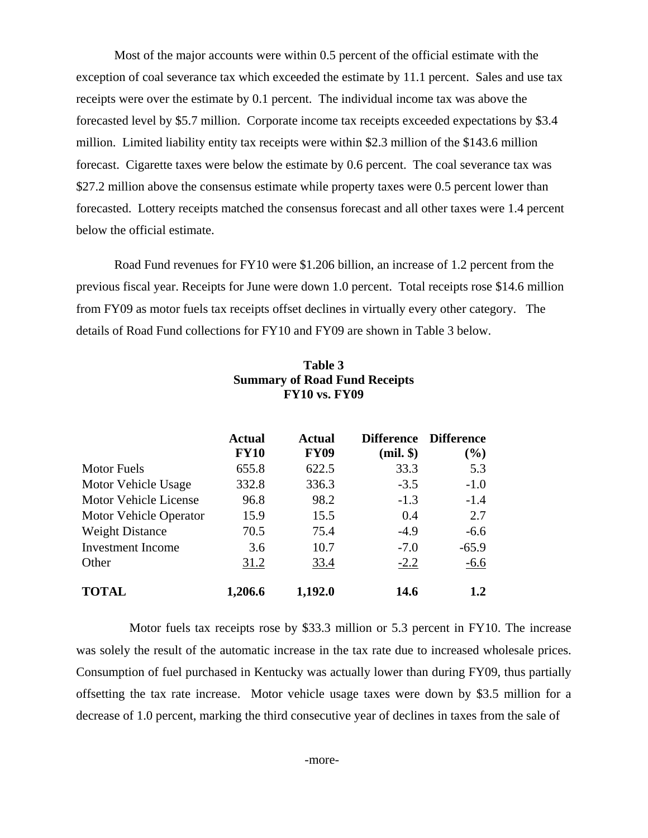Most of the major accounts were within 0.5 percent of the official estimate with the exception of coal severance tax which exceeded the estimate by 11.1 percent. Sales and use tax receipts were over the estimate by 0.1 percent. The individual income tax was above the forecasted level by \$5.7 million. Corporate income tax receipts exceeded expectations by \$3.4 million. Limited liability entity tax receipts were within \$2.3 million of the \$143.6 million forecast. Cigarette taxes were below the estimate by 0.6 percent. The coal severance tax was \$27.2 million above the consensus estimate while property taxes were 0.5 percent lower than forecasted. Lottery receipts matched the consensus forecast and all other taxes were 1.4 percent below the official estimate.

Road Fund revenues for FY10 were \$1.206 billion, an increase of 1.2 percent from the previous fiscal year. Receipts for June were down 1.0 percent. Total receipts rose \$14.6 million from FY09 as motor fuels tax receipts offset declines in virtually every other category. The details of Road Fund collections for FY10 and FY09 are shown in Table 3 below.

|                          | <b>Actual</b> | <b>Actual</b> | <b>Difference</b> | <b>Difference</b> |
|--------------------------|---------------|---------------|-------------------|-------------------|
|                          | <b>FY10</b>   | <b>FY09</b>   | $(mil.$ $\})$     | (%)               |
| <b>Motor Fuels</b>       | 655.8         | 622.5         | 33.3              | 5.3               |
| Motor Vehicle Usage      | 332.8         | 336.3         | $-3.5$            | $-1.0$            |
| Motor Vehicle License    | 96.8          | 98.2          | $-1.3$            | $-1.4$            |
| Motor Vehicle Operator   | 15.9          | 15.5          | 0.4               | 2.7               |
| <b>Weight Distance</b>   | 70.5          | 75.4          | $-4.9$            | $-6.6$            |
| <b>Investment Income</b> | 3.6           | 10.7          | $-7.0$            | $-65.9$           |
| Other                    | 31.2          | 33.4          | $-2.2$            | $-6.6$            |
| <b>TOTAL</b>             | 1,206.6       | 1,192.0       | 14.6              | 1.2               |

# **Table 3 Summary of Road Fund Receipts FY10 vs. FY09**

 Motor fuels tax receipts rose by \$33.3 million or 5.3 percent in FY10. The increase was solely the result of the automatic increase in the tax rate due to increased wholesale prices. Consumption of fuel purchased in Kentucky was actually lower than during FY09, thus partially offsetting the tax rate increase. Motor vehicle usage taxes were down by \$3.5 million for a decrease of 1.0 percent, marking the third consecutive year of declines in taxes from the sale of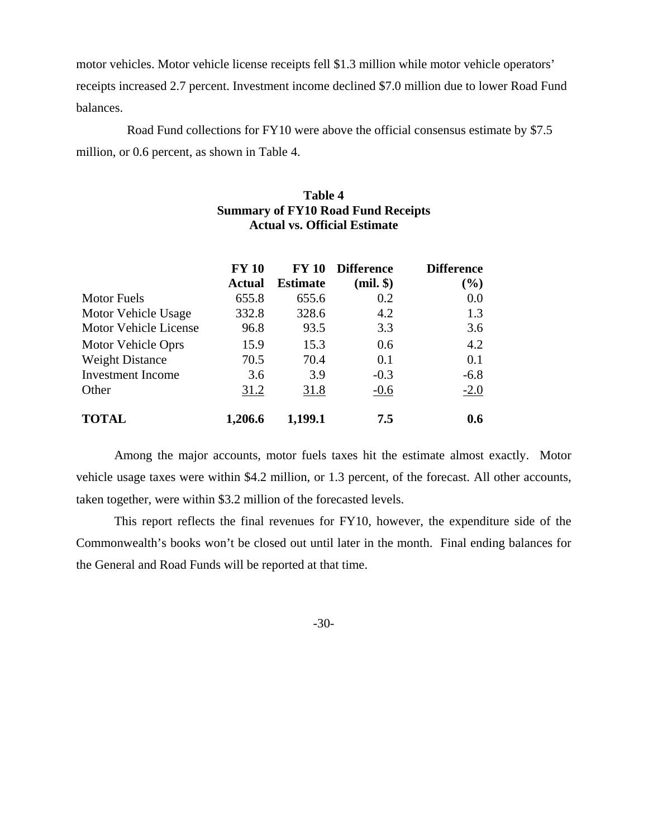motor vehicles. Motor vehicle license receipts fell \$1.3 million while motor vehicle operators' receipts increased 2.7 percent. Investment income declined \$7.0 million due to lower Road Fund balances.

 Road Fund collections for FY10 were above the official consensus estimate by \$7.5 million, or 0.6 percent, as shown in Table 4.

# **Table 4 Summary of FY10 Road Fund Receipts Actual vs. Official Estimate**

|                              | <b>FY 10</b> | <b>FY 10</b>    | <b>Difference</b> | <b>Difference</b> |
|------------------------------|--------------|-----------------|-------------------|-------------------|
|                              | Actual       | <b>Estimate</b> | $(mil.$ \$)       | (%)               |
| <b>Motor Fuels</b>           | 655.8        | 655.6           | 0.2               | 0.0               |
| Motor Vehicle Usage          | 332.8        | 328.6           | 4.2               | 1.3               |
| <b>Motor Vehicle License</b> | 96.8         | 93.5            | 3.3               | 3.6               |
| Motor Vehicle Oprs           | 15.9         | 15.3            | 0.6               | 4.2               |
| <b>Weight Distance</b>       | 70.5         | 70.4            | 0.1               | 0.1               |
| <b>Investment Income</b>     | 3.6          | 3.9             | $-0.3$            | $-6.8$            |
| Other                        | 31.2         | 31.8            | $-0.6$            | $-2.0$            |
| <b>TOTAL</b>                 | 1,206.6      | 1,199.1         | 7.5               | 0.6               |

Among the major accounts, motor fuels taxes hit the estimate almost exactly. Motor vehicle usage taxes were within \$4.2 million, or 1.3 percent, of the forecast. All other accounts, taken together, were within \$3.2 million of the forecasted levels.

This report reflects the final revenues for FY10, however, the expenditure side of the Commonwealth's books won't be closed out until later in the month. Final ending balances for the General and Road Funds will be reported at that time.

-30-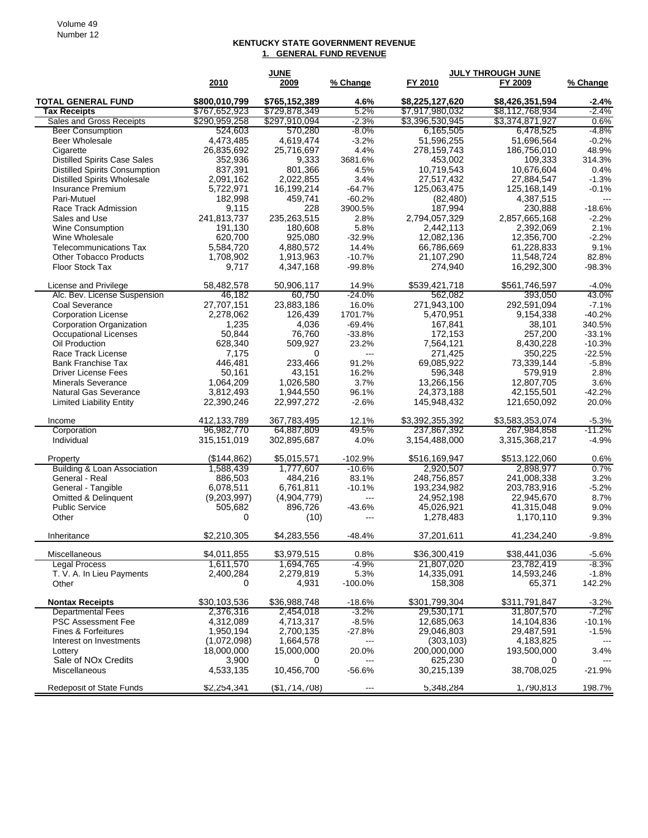#### **KENTUCKY STATE GOVERNMENT REVENUE 1. GENERAL FUND REVENUE**

| \$765,152,389<br><b>TOTAL GENERAL FUND</b><br>\$800,010,799<br>4.6%<br>\$8,225,127,620<br>\$8,426,351,594<br>$-2.4%$<br><b>Tax Receipts</b><br>\$767,652,923<br>\$729,878,349<br>5.2%<br>\$7,917,980,032<br>\$8,112,768,934<br>$-2.4%$<br>\$290,959,258<br>\$297,910,094<br>$-2.3%$<br>\$3,396,530,945<br>\$3,374,871,927<br>0.6%<br>Sales and Gross Receipts<br>$-4.8%$<br><b>Beer Consumption</b><br>524,603<br>570,280<br>$-8.0\%$<br>6,165,505<br>6,478,525<br>51,596,255<br>$-0.2%$<br>Beer Wholesale<br>4.473.485<br>4.619.474<br>$-3.2%$<br>51.696.564<br>4.4%<br>26,835,692<br>25,716,697<br>278,159,743<br>186,756,010<br>48.9%<br>Cigarette<br>352,936<br>3681.6%<br>453,002<br><b>Distilled Spirits Case Sales</b><br>9,333<br>109,333<br>314.3%<br><b>Distilled Spirits Consumption</b><br>837,391<br>801,366<br>4.5%<br>10,719,543<br>10,676,604<br>0.4%<br>2,091,162<br>27,517,432<br>27,884,547<br><b>Distilled Spirits Wholesale</b><br>2,022,855<br>3.4%<br>$-1.3%$<br>Insurance Premium<br>5,722,971<br>16,199,214<br>$-64.7%$<br>125,063,475<br>125,168,149<br>$-0.1%$<br>182,998<br>459,741<br>4,387,515<br>Pari-Mutuel<br>-60.2%<br>(82, 480)<br>---<br>187,994<br>Race Track Admission<br>9,115<br>228<br>3900.5%<br>230,888<br>$-18.6%$<br>235,263,515<br>Sales and Use<br>241,813,737<br>2.8%<br>2.794.057.329<br>2,857,665,168<br>$-2.2\%$<br>191,130<br>5.8%<br>2,442,113<br>2.1%<br>Wine Consumption<br>180,608<br>2,392,069<br>620,700<br>Wine Wholesale<br>925,080<br>$-32.9%$<br>12,082,136<br>12,356,700<br>$-2.2%$<br>9.1%<br><b>Telecommunications Tax</b><br>5,584,720<br>4,880,572<br>14.4%<br>66,786,669<br>61,228,833<br>21,107,290<br>11,548,724<br><b>Other Tobacco Products</b><br>1,708,902<br>1,913,963<br>$-10.7%$<br>82.8%<br>16,292,300<br><b>Floor Stock Tax</b><br>9,717<br>4,347,168<br>$-99.8%$<br>274,940<br>$-98.3%$<br>58,482,578<br>\$539,421,718<br>50.906.117<br>14.9%<br>\$561,746,597<br>$-4.0%$<br>License and Privilege<br>46,182<br>60,750<br>562,082<br>393,050<br>Alc. Bev. License Suspension<br>$-24.0%$<br>43.0%<br>27,707,151<br>Coal Severance<br>23,883,186<br>16.0%<br>271,943,100<br>292,591,094<br>$-7.1%$<br>2,278,062<br>126,439<br>1701.7%<br>$-40.2%$<br><b>Corporation License</b><br>5,470,951<br>9,154,338<br>1,235<br><b>Corporation Organization</b><br>4,036<br>$-69.4%$<br>167,841<br>38,101<br>340.5%<br>50.844<br>76,760<br>$-33.8%$<br><b>Occupational Licenses</b><br>172,153<br>257.200<br>$-33.1%$<br>628,340<br>509,927<br>Oil Production<br>23.2%<br>7,564,121<br>8,430,228<br>$-10.3%$<br>271.425<br>350,225<br>Race Track License<br>7,175<br>0<br>$-22.5%$<br>$---$<br>233,466<br><b>Bank Franchise Tax</b><br>446,481<br>91.2%<br>69,085,922<br>73,339,144<br>-5.8%<br>50,161<br>43.151<br>16.2%<br>596,348<br><b>Driver License Fees</b><br>579,919<br>2.8%<br>1,064,209<br>1,026,580<br>12,807,705<br><b>Minerals Severance</b><br>3.7%<br>13,266,156<br>3.6%<br>Natural Gas Severance<br>3,812,493<br>1,944,550<br>96.1%<br>24,373,188<br>42,155,501<br>$-42.2%$<br>22,390,246<br>22,997,272<br>145,948,432<br>121,650,092<br><b>Limited Liability Entity</b><br>$-2.6%$<br>20.0%<br>412,133,789<br>\$3,583,353,074<br>367,783,495<br>12.1%<br>\$3,392,355,392<br>$-5.3%$<br>Income<br>Corporation<br>96,982,770<br>49.5%<br>237,867,392<br>267,984,858<br>$-11.2%$<br>64,887,809<br>315,151,019<br>302,895,687<br>3,154,488,000<br>3,315,368,217<br>Individual<br>4.0%<br>$-4.9%$<br>(\$144,862)<br>\$5,015,571<br>$-102.9%$<br>\$516,169,947<br>\$513,122,060<br>0.6%<br>Property<br>Building & Loan Association<br>1,588,439<br>1,777,607<br>$-10.6%$<br>2,920,507<br>2,898,977<br>0.7%<br>886,503<br>484,216<br>83.1%<br>248,756,857<br>241,008,338<br>3.2%<br>General - Real<br>$-5.2%$<br>General - Tangible<br>6,078,511<br>6,761,811<br>$-10.1%$<br>193,234,982<br>203,783,916<br>8.7%<br>Omitted & Delinquent<br>(9,203,997)<br>(4,904,779)<br>24,952,198<br>22.945.670<br>---<br><b>Public Service</b><br>505,682<br>896,726<br>$-43.6%$<br>45,026,921<br>41,315,048<br>9.0%<br>Other<br>0<br>(10)<br>1,278,483<br>1,170,110<br>9.3%<br>---<br>\$4,283,556<br>\$2,210,305<br>37,201,611<br>41,234,240<br>Inheritance<br>$-48.4%$<br>$-9.8%$<br>\$4,011,855<br>\$3,979,515<br>\$36,300,419<br>\$38,441,036<br>0.8%<br>Miscellaneous<br>$-5.6%$<br><b>Legal Process</b><br>1,694,765<br>1,611,570<br>-4.9%<br>21,807,020<br>23,782,419<br>-8.3%<br>14,593,246<br>T. V. A. In Lieu Payments<br>2,400,284<br>2,279,819<br>5.3%<br>14,335,091<br>$-1.8%$<br>158,308<br>Other<br>0<br>4,931<br>$-100.0\%$<br>65,371<br>142.2%<br>\$30,103,536<br>\$36,988,748<br>\$301,799,304<br>\$311,791,847<br><b>Nontax Receipts</b><br>$-3.2%$<br>$-18.6%$<br><b>Departmental Fees</b><br>2,376,316<br>2,454,018<br>$-3.2%$<br>29,530,171<br>31,807,570<br>-7.2%<br><b>PSC Assessment Fee</b><br>4,312,089<br>4,713,317<br>$-8.5%$<br>12,685,063<br>14,104,836<br>$-10.1%$<br>Fines & Forfeitures<br>1,950,194<br>2,700,135<br>$-27.8%$<br>29,046,803<br>29,487,591<br>$-1.5%$<br>(1,072,098)<br>1,664,578<br>(303, 103)<br>4,183,825<br>Interest on Investments<br>---<br>18,000,000<br>15,000,000<br>20.0%<br>200,000,000<br>193,500,000<br>3.4%<br>Lottery<br>Sale of NO <sub>x</sub> Credits<br>3,900<br>625,230<br>0<br>0<br>$---$<br>10,456,700<br>Miscellaneous<br>4,533,135<br>$-56.6%$<br>30,215,139<br>38,708,025<br>-21.9%<br><b>Redeposit of State Funds</b><br>5,348,284<br>1,790,813<br>198.7%<br>\$2,254,341<br>( \$1,714,708)<br>--- |      | <b>JUNE</b> |          |         | <b>JULY THROUGH JUNE</b> |          |
|-------------------------------------------------------------------------------------------------------------------------------------------------------------------------------------------------------------------------------------------------------------------------------------------------------------------------------------------------------------------------------------------------------------------------------------------------------------------------------------------------------------------------------------------------------------------------------------------------------------------------------------------------------------------------------------------------------------------------------------------------------------------------------------------------------------------------------------------------------------------------------------------------------------------------------------------------------------------------------------------------------------------------------------------------------------------------------------------------------------------------------------------------------------------------------------------------------------------------------------------------------------------------------------------------------------------------------------------------------------------------------------------------------------------------------------------------------------------------------------------------------------------------------------------------------------------------------------------------------------------------------------------------------------------------------------------------------------------------------------------------------------------------------------------------------------------------------------------------------------------------------------------------------------------------------------------------------------------------------------------------------------------------------------------------------------------------------------------------------------------------------------------------------------------------------------------------------------------------------------------------------------------------------------------------------------------------------------------------------------------------------------------------------------------------------------------------------------------------------------------------------------------------------------------------------------------------------------------------------------------------------------------------------------------------------------------------------------------------------------------------------------------------------------------------------------------------------------------------------------------------------------------------------------------------------------------------------------------------------------------------------------------------------------------------------------------------------------------------------------------------------------------------------------------------------------------------------------------------------------------------------------------------------------------------------------------------------------------------------------------------------------------------------------------------------------------------------------------------------------------------------------------------------------------------------------------------------------------------------------------------------------------------------------------------------------------------------------------------------------------------------------------------------------------------------------------------------------------------------------------------------------------------------------------------------------------------------------------------------------------------------------------------------------------------------------------------------------------------------------------------------------------------------------------------------------------------------------------------------------------------------------------------------------------------------------------------------------------------------------------------------------------------------------------------------------------------------------------------------------------------------------------------------------------------------------------------------------------------------------------------------------------------------------------------------------------------------------------------------------------------------------------------------------------------------------------------------------------------------------------------------------------------------------------------------------------------------------------------------------------------------------------------------------------------------------------------------------------------------------------------------------------------------------------------------------------------------------------------------------------------------------------------------------------------------------------------------------------------------------------------------------------------------------------------------------------------------------------------------------------------------------------------------------------------|------|-------------|----------|---------|--------------------------|----------|
|                                                                                                                                                                                                                                                                                                                                                                                                                                                                                                                                                                                                                                                                                                                                                                                                                                                                                                                                                                                                                                                                                                                                                                                                                                                                                                                                                                                                                                                                                                                                                                                                                                                                                                                                                                                                                                                                                                                                                                                                                                                                                                                                                                                                                                                                                                                                                                                                                                                                                                                                                                                                                                                                                                                                                                                                                                                                                                                                                                                                                                                                                                                                                                                                                                                                                                                                                                                                                                                                                                                                                                                                                                                                                                                                                                                                                                                                                                                                                                                                                                                                                                                                                                                                                                                                                                                                                                                                                                                                                                                                                                                                                                                                                                                                                                                                                                                                                                                                                                                                                                                                                                                                                                                                                                                                                                                                                                                                                                                                                                                                                 | 2010 | 2009        | % Change | FY 2010 | FY 2009                  | % Change |
|                                                                                                                                                                                                                                                                                                                                                                                                                                                                                                                                                                                                                                                                                                                                                                                                                                                                                                                                                                                                                                                                                                                                                                                                                                                                                                                                                                                                                                                                                                                                                                                                                                                                                                                                                                                                                                                                                                                                                                                                                                                                                                                                                                                                                                                                                                                                                                                                                                                                                                                                                                                                                                                                                                                                                                                                                                                                                                                                                                                                                                                                                                                                                                                                                                                                                                                                                                                                                                                                                                                                                                                                                                                                                                                                                                                                                                                                                                                                                                                                                                                                                                                                                                                                                                                                                                                                                                                                                                                                                                                                                                                                                                                                                                                                                                                                                                                                                                                                                                                                                                                                                                                                                                                                                                                                                                                                                                                                                                                                                                                                                 |      |             |          |         |                          |          |
|                                                                                                                                                                                                                                                                                                                                                                                                                                                                                                                                                                                                                                                                                                                                                                                                                                                                                                                                                                                                                                                                                                                                                                                                                                                                                                                                                                                                                                                                                                                                                                                                                                                                                                                                                                                                                                                                                                                                                                                                                                                                                                                                                                                                                                                                                                                                                                                                                                                                                                                                                                                                                                                                                                                                                                                                                                                                                                                                                                                                                                                                                                                                                                                                                                                                                                                                                                                                                                                                                                                                                                                                                                                                                                                                                                                                                                                                                                                                                                                                                                                                                                                                                                                                                                                                                                                                                                                                                                                                                                                                                                                                                                                                                                                                                                                                                                                                                                                                                                                                                                                                                                                                                                                                                                                                                                                                                                                                                                                                                                                                                 |      |             |          |         |                          |          |
|                                                                                                                                                                                                                                                                                                                                                                                                                                                                                                                                                                                                                                                                                                                                                                                                                                                                                                                                                                                                                                                                                                                                                                                                                                                                                                                                                                                                                                                                                                                                                                                                                                                                                                                                                                                                                                                                                                                                                                                                                                                                                                                                                                                                                                                                                                                                                                                                                                                                                                                                                                                                                                                                                                                                                                                                                                                                                                                                                                                                                                                                                                                                                                                                                                                                                                                                                                                                                                                                                                                                                                                                                                                                                                                                                                                                                                                                                                                                                                                                                                                                                                                                                                                                                                                                                                                                                                                                                                                                                                                                                                                                                                                                                                                                                                                                                                                                                                                                                                                                                                                                                                                                                                                                                                                                                                                                                                                                                                                                                                                                                 |      |             |          |         |                          |          |
|                                                                                                                                                                                                                                                                                                                                                                                                                                                                                                                                                                                                                                                                                                                                                                                                                                                                                                                                                                                                                                                                                                                                                                                                                                                                                                                                                                                                                                                                                                                                                                                                                                                                                                                                                                                                                                                                                                                                                                                                                                                                                                                                                                                                                                                                                                                                                                                                                                                                                                                                                                                                                                                                                                                                                                                                                                                                                                                                                                                                                                                                                                                                                                                                                                                                                                                                                                                                                                                                                                                                                                                                                                                                                                                                                                                                                                                                                                                                                                                                                                                                                                                                                                                                                                                                                                                                                                                                                                                                                                                                                                                                                                                                                                                                                                                                                                                                                                                                                                                                                                                                                                                                                                                                                                                                                                                                                                                                                                                                                                                                                 |      |             |          |         |                          |          |
|                                                                                                                                                                                                                                                                                                                                                                                                                                                                                                                                                                                                                                                                                                                                                                                                                                                                                                                                                                                                                                                                                                                                                                                                                                                                                                                                                                                                                                                                                                                                                                                                                                                                                                                                                                                                                                                                                                                                                                                                                                                                                                                                                                                                                                                                                                                                                                                                                                                                                                                                                                                                                                                                                                                                                                                                                                                                                                                                                                                                                                                                                                                                                                                                                                                                                                                                                                                                                                                                                                                                                                                                                                                                                                                                                                                                                                                                                                                                                                                                                                                                                                                                                                                                                                                                                                                                                                                                                                                                                                                                                                                                                                                                                                                                                                                                                                                                                                                                                                                                                                                                                                                                                                                                                                                                                                                                                                                                                                                                                                                                                 |      |             |          |         |                          |          |
|                                                                                                                                                                                                                                                                                                                                                                                                                                                                                                                                                                                                                                                                                                                                                                                                                                                                                                                                                                                                                                                                                                                                                                                                                                                                                                                                                                                                                                                                                                                                                                                                                                                                                                                                                                                                                                                                                                                                                                                                                                                                                                                                                                                                                                                                                                                                                                                                                                                                                                                                                                                                                                                                                                                                                                                                                                                                                                                                                                                                                                                                                                                                                                                                                                                                                                                                                                                                                                                                                                                                                                                                                                                                                                                                                                                                                                                                                                                                                                                                                                                                                                                                                                                                                                                                                                                                                                                                                                                                                                                                                                                                                                                                                                                                                                                                                                                                                                                                                                                                                                                                                                                                                                                                                                                                                                                                                                                                                                                                                                                                                 |      |             |          |         |                          |          |
|                                                                                                                                                                                                                                                                                                                                                                                                                                                                                                                                                                                                                                                                                                                                                                                                                                                                                                                                                                                                                                                                                                                                                                                                                                                                                                                                                                                                                                                                                                                                                                                                                                                                                                                                                                                                                                                                                                                                                                                                                                                                                                                                                                                                                                                                                                                                                                                                                                                                                                                                                                                                                                                                                                                                                                                                                                                                                                                                                                                                                                                                                                                                                                                                                                                                                                                                                                                                                                                                                                                                                                                                                                                                                                                                                                                                                                                                                                                                                                                                                                                                                                                                                                                                                                                                                                                                                                                                                                                                                                                                                                                                                                                                                                                                                                                                                                                                                                                                                                                                                                                                                                                                                                                                                                                                                                                                                                                                                                                                                                                                                 |      |             |          |         |                          |          |
|                                                                                                                                                                                                                                                                                                                                                                                                                                                                                                                                                                                                                                                                                                                                                                                                                                                                                                                                                                                                                                                                                                                                                                                                                                                                                                                                                                                                                                                                                                                                                                                                                                                                                                                                                                                                                                                                                                                                                                                                                                                                                                                                                                                                                                                                                                                                                                                                                                                                                                                                                                                                                                                                                                                                                                                                                                                                                                                                                                                                                                                                                                                                                                                                                                                                                                                                                                                                                                                                                                                                                                                                                                                                                                                                                                                                                                                                                                                                                                                                                                                                                                                                                                                                                                                                                                                                                                                                                                                                                                                                                                                                                                                                                                                                                                                                                                                                                                                                                                                                                                                                                                                                                                                                                                                                                                                                                                                                                                                                                                                                                 |      |             |          |         |                          |          |
|                                                                                                                                                                                                                                                                                                                                                                                                                                                                                                                                                                                                                                                                                                                                                                                                                                                                                                                                                                                                                                                                                                                                                                                                                                                                                                                                                                                                                                                                                                                                                                                                                                                                                                                                                                                                                                                                                                                                                                                                                                                                                                                                                                                                                                                                                                                                                                                                                                                                                                                                                                                                                                                                                                                                                                                                                                                                                                                                                                                                                                                                                                                                                                                                                                                                                                                                                                                                                                                                                                                                                                                                                                                                                                                                                                                                                                                                                                                                                                                                                                                                                                                                                                                                                                                                                                                                                                                                                                                                                                                                                                                                                                                                                                                                                                                                                                                                                                                                                                                                                                                                                                                                                                                                                                                                                                                                                                                                                                                                                                                                                 |      |             |          |         |                          |          |
|                                                                                                                                                                                                                                                                                                                                                                                                                                                                                                                                                                                                                                                                                                                                                                                                                                                                                                                                                                                                                                                                                                                                                                                                                                                                                                                                                                                                                                                                                                                                                                                                                                                                                                                                                                                                                                                                                                                                                                                                                                                                                                                                                                                                                                                                                                                                                                                                                                                                                                                                                                                                                                                                                                                                                                                                                                                                                                                                                                                                                                                                                                                                                                                                                                                                                                                                                                                                                                                                                                                                                                                                                                                                                                                                                                                                                                                                                                                                                                                                                                                                                                                                                                                                                                                                                                                                                                                                                                                                                                                                                                                                                                                                                                                                                                                                                                                                                                                                                                                                                                                                                                                                                                                                                                                                                                                                                                                                                                                                                                                                                 |      |             |          |         |                          |          |
|                                                                                                                                                                                                                                                                                                                                                                                                                                                                                                                                                                                                                                                                                                                                                                                                                                                                                                                                                                                                                                                                                                                                                                                                                                                                                                                                                                                                                                                                                                                                                                                                                                                                                                                                                                                                                                                                                                                                                                                                                                                                                                                                                                                                                                                                                                                                                                                                                                                                                                                                                                                                                                                                                                                                                                                                                                                                                                                                                                                                                                                                                                                                                                                                                                                                                                                                                                                                                                                                                                                                                                                                                                                                                                                                                                                                                                                                                                                                                                                                                                                                                                                                                                                                                                                                                                                                                                                                                                                                                                                                                                                                                                                                                                                                                                                                                                                                                                                                                                                                                                                                                                                                                                                                                                                                                                                                                                                                                                                                                                                                                 |      |             |          |         |                          |          |
|                                                                                                                                                                                                                                                                                                                                                                                                                                                                                                                                                                                                                                                                                                                                                                                                                                                                                                                                                                                                                                                                                                                                                                                                                                                                                                                                                                                                                                                                                                                                                                                                                                                                                                                                                                                                                                                                                                                                                                                                                                                                                                                                                                                                                                                                                                                                                                                                                                                                                                                                                                                                                                                                                                                                                                                                                                                                                                                                                                                                                                                                                                                                                                                                                                                                                                                                                                                                                                                                                                                                                                                                                                                                                                                                                                                                                                                                                                                                                                                                                                                                                                                                                                                                                                                                                                                                                                                                                                                                                                                                                                                                                                                                                                                                                                                                                                                                                                                                                                                                                                                                                                                                                                                                                                                                                                                                                                                                                                                                                                                                                 |      |             |          |         |                          |          |
|                                                                                                                                                                                                                                                                                                                                                                                                                                                                                                                                                                                                                                                                                                                                                                                                                                                                                                                                                                                                                                                                                                                                                                                                                                                                                                                                                                                                                                                                                                                                                                                                                                                                                                                                                                                                                                                                                                                                                                                                                                                                                                                                                                                                                                                                                                                                                                                                                                                                                                                                                                                                                                                                                                                                                                                                                                                                                                                                                                                                                                                                                                                                                                                                                                                                                                                                                                                                                                                                                                                                                                                                                                                                                                                                                                                                                                                                                                                                                                                                                                                                                                                                                                                                                                                                                                                                                                                                                                                                                                                                                                                                                                                                                                                                                                                                                                                                                                                                                                                                                                                                                                                                                                                                                                                                                                                                                                                                                                                                                                                                                 |      |             |          |         |                          |          |
|                                                                                                                                                                                                                                                                                                                                                                                                                                                                                                                                                                                                                                                                                                                                                                                                                                                                                                                                                                                                                                                                                                                                                                                                                                                                                                                                                                                                                                                                                                                                                                                                                                                                                                                                                                                                                                                                                                                                                                                                                                                                                                                                                                                                                                                                                                                                                                                                                                                                                                                                                                                                                                                                                                                                                                                                                                                                                                                                                                                                                                                                                                                                                                                                                                                                                                                                                                                                                                                                                                                                                                                                                                                                                                                                                                                                                                                                                                                                                                                                                                                                                                                                                                                                                                                                                                                                                                                                                                                                                                                                                                                                                                                                                                                                                                                                                                                                                                                                                                                                                                                                                                                                                                                                                                                                                                                                                                                                                                                                                                                                                 |      |             |          |         |                          |          |
|                                                                                                                                                                                                                                                                                                                                                                                                                                                                                                                                                                                                                                                                                                                                                                                                                                                                                                                                                                                                                                                                                                                                                                                                                                                                                                                                                                                                                                                                                                                                                                                                                                                                                                                                                                                                                                                                                                                                                                                                                                                                                                                                                                                                                                                                                                                                                                                                                                                                                                                                                                                                                                                                                                                                                                                                                                                                                                                                                                                                                                                                                                                                                                                                                                                                                                                                                                                                                                                                                                                                                                                                                                                                                                                                                                                                                                                                                                                                                                                                                                                                                                                                                                                                                                                                                                                                                                                                                                                                                                                                                                                                                                                                                                                                                                                                                                                                                                                                                                                                                                                                                                                                                                                                                                                                                                                                                                                                                                                                                                                                                 |      |             |          |         |                          |          |
|                                                                                                                                                                                                                                                                                                                                                                                                                                                                                                                                                                                                                                                                                                                                                                                                                                                                                                                                                                                                                                                                                                                                                                                                                                                                                                                                                                                                                                                                                                                                                                                                                                                                                                                                                                                                                                                                                                                                                                                                                                                                                                                                                                                                                                                                                                                                                                                                                                                                                                                                                                                                                                                                                                                                                                                                                                                                                                                                                                                                                                                                                                                                                                                                                                                                                                                                                                                                                                                                                                                                                                                                                                                                                                                                                                                                                                                                                                                                                                                                                                                                                                                                                                                                                                                                                                                                                                                                                                                                                                                                                                                                                                                                                                                                                                                                                                                                                                                                                                                                                                                                                                                                                                                                                                                                                                                                                                                                                                                                                                                                                 |      |             |          |         |                          |          |
|                                                                                                                                                                                                                                                                                                                                                                                                                                                                                                                                                                                                                                                                                                                                                                                                                                                                                                                                                                                                                                                                                                                                                                                                                                                                                                                                                                                                                                                                                                                                                                                                                                                                                                                                                                                                                                                                                                                                                                                                                                                                                                                                                                                                                                                                                                                                                                                                                                                                                                                                                                                                                                                                                                                                                                                                                                                                                                                                                                                                                                                                                                                                                                                                                                                                                                                                                                                                                                                                                                                                                                                                                                                                                                                                                                                                                                                                                                                                                                                                                                                                                                                                                                                                                                                                                                                                                                                                                                                                                                                                                                                                                                                                                                                                                                                                                                                                                                                                                                                                                                                                                                                                                                                                                                                                                                                                                                                                                                                                                                                                                 |      |             |          |         |                          |          |
|                                                                                                                                                                                                                                                                                                                                                                                                                                                                                                                                                                                                                                                                                                                                                                                                                                                                                                                                                                                                                                                                                                                                                                                                                                                                                                                                                                                                                                                                                                                                                                                                                                                                                                                                                                                                                                                                                                                                                                                                                                                                                                                                                                                                                                                                                                                                                                                                                                                                                                                                                                                                                                                                                                                                                                                                                                                                                                                                                                                                                                                                                                                                                                                                                                                                                                                                                                                                                                                                                                                                                                                                                                                                                                                                                                                                                                                                                                                                                                                                                                                                                                                                                                                                                                                                                                                                                                                                                                                                                                                                                                                                                                                                                                                                                                                                                                                                                                                                                                                                                                                                                                                                                                                                                                                                                                                                                                                                                                                                                                                                                 |      |             |          |         |                          |          |
|                                                                                                                                                                                                                                                                                                                                                                                                                                                                                                                                                                                                                                                                                                                                                                                                                                                                                                                                                                                                                                                                                                                                                                                                                                                                                                                                                                                                                                                                                                                                                                                                                                                                                                                                                                                                                                                                                                                                                                                                                                                                                                                                                                                                                                                                                                                                                                                                                                                                                                                                                                                                                                                                                                                                                                                                                                                                                                                                                                                                                                                                                                                                                                                                                                                                                                                                                                                                                                                                                                                                                                                                                                                                                                                                                                                                                                                                                                                                                                                                                                                                                                                                                                                                                                                                                                                                                                                                                                                                                                                                                                                                                                                                                                                                                                                                                                                                                                                                                                                                                                                                                                                                                                                                                                                                                                                                                                                                                                                                                                                                                 |      |             |          |         |                          |          |
|                                                                                                                                                                                                                                                                                                                                                                                                                                                                                                                                                                                                                                                                                                                                                                                                                                                                                                                                                                                                                                                                                                                                                                                                                                                                                                                                                                                                                                                                                                                                                                                                                                                                                                                                                                                                                                                                                                                                                                                                                                                                                                                                                                                                                                                                                                                                                                                                                                                                                                                                                                                                                                                                                                                                                                                                                                                                                                                                                                                                                                                                                                                                                                                                                                                                                                                                                                                                                                                                                                                                                                                                                                                                                                                                                                                                                                                                                                                                                                                                                                                                                                                                                                                                                                                                                                                                                                                                                                                                                                                                                                                                                                                                                                                                                                                                                                                                                                                                                                                                                                                                                                                                                                                                                                                                                                                                                                                                                                                                                                                                                 |      |             |          |         |                          |          |
|                                                                                                                                                                                                                                                                                                                                                                                                                                                                                                                                                                                                                                                                                                                                                                                                                                                                                                                                                                                                                                                                                                                                                                                                                                                                                                                                                                                                                                                                                                                                                                                                                                                                                                                                                                                                                                                                                                                                                                                                                                                                                                                                                                                                                                                                                                                                                                                                                                                                                                                                                                                                                                                                                                                                                                                                                                                                                                                                                                                                                                                                                                                                                                                                                                                                                                                                                                                                                                                                                                                                                                                                                                                                                                                                                                                                                                                                                                                                                                                                                                                                                                                                                                                                                                                                                                                                                                                                                                                                                                                                                                                                                                                                                                                                                                                                                                                                                                                                                                                                                                                                                                                                                                                                                                                                                                                                                                                                                                                                                                                                                 |      |             |          |         |                          |          |
|                                                                                                                                                                                                                                                                                                                                                                                                                                                                                                                                                                                                                                                                                                                                                                                                                                                                                                                                                                                                                                                                                                                                                                                                                                                                                                                                                                                                                                                                                                                                                                                                                                                                                                                                                                                                                                                                                                                                                                                                                                                                                                                                                                                                                                                                                                                                                                                                                                                                                                                                                                                                                                                                                                                                                                                                                                                                                                                                                                                                                                                                                                                                                                                                                                                                                                                                                                                                                                                                                                                                                                                                                                                                                                                                                                                                                                                                                                                                                                                                                                                                                                                                                                                                                                                                                                                                                                                                                                                                                                                                                                                                                                                                                                                                                                                                                                                                                                                                                                                                                                                                                                                                                                                                                                                                                                                                                                                                                                                                                                                                                 |      |             |          |         |                          |          |
|                                                                                                                                                                                                                                                                                                                                                                                                                                                                                                                                                                                                                                                                                                                                                                                                                                                                                                                                                                                                                                                                                                                                                                                                                                                                                                                                                                                                                                                                                                                                                                                                                                                                                                                                                                                                                                                                                                                                                                                                                                                                                                                                                                                                                                                                                                                                                                                                                                                                                                                                                                                                                                                                                                                                                                                                                                                                                                                                                                                                                                                                                                                                                                                                                                                                                                                                                                                                                                                                                                                                                                                                                                                                                                                                                                                                                                                                                                                                                                                                                                                                                                                                                                                                                                                                                                                                                                                                                                                                                                                                                                                                                                                                                                                                                                                                                                                                                                                                                                                                                                                                                                                                                                                                                                                                                                                                                                                                                                                                                                                                                 |      |             |          |         |                          |          |
|                                                                                                                                                                                                                                                                                                                                                                                                                                                                                                                                                                                                                                                                                                                                                                                                                                                                                                                                                                                                                                                                                                                                                                                                                                                                                                                                                                                                                                                                                                                                                                                                                                                                                                                                                                                                                                                                                                                                                                                                                                                                                                                                                                                                                                                                                                                                                                                                                                                                                                                                                                                                                                                                                                                                                                                                                                                                                                                                                                                                                                                                                                                                                                                                                                                                                                                                                                                                                                                                                                                                                                                                                                                                                                                                                                                                                                                                                                                                                                                                                                                                                                                                                                                                                                                                                                                                                                                                                                                                                                                                                                                                                                                                                                                                                                                                                                                                                                                                                                                                                                                                                                                                                                                                                                                                                                                                                                                                                                                                                                                                                 |      |             |          |         |                          |          |
|                                                                                                                                                                                                                                                                                                                                                                                                                                                                                                                                                                                                                                                                                                                                                                                                                                                                                                                                                                                                                                                                                                                                                                                                                                                                                                                                                                                                                                                                                                                                                                                                                                                                                                                                                                                                                                                                                                                                                                                                                                                                                                                                                                                                                                                                                                                                                                                                                                                                                                                                                                                                                                                                                                                                                                                                                                                                                                                                                                                                                                                                                                                                                                                                                                                                                                                                                                                                                                                                                                                                                                                                                                                                                                                                                                                                                                                                                                                                                                                                                                                                                                                                                                                                                                                                                                                                                                                                                                                                                                                                                                                                                                                                                                                                                                                                                                                                                                                                                                                                                                                                                                                                                                                                                                                                                                                                                                                                                                                                                                                                                 |      |             |          |         |                          |          |
|                                                                                                                                                                                                                                                                                                                                                                                                                                                                                                                                                                                                                                                                                                                                                                                                                                                                                                                                                                                                                                                                                                                                                                                                                                                                                                                                                                                                                                                                                                                                                                                                                                                                                                                                                                                                                                                                                                                                                                                                                                                                                                                                                                                                                                                                                                                                                                                                                                                                                                                                                                                                                                                                                                                                                                                                                                                                                                                                                                                                                                                                                                                                                                                                                                                                                                                                                                                                                                                                                                                                                                                                                                                                                                                                                                                                                                                                                                                                                                                                                                                                                                                                                                                                                                                                                                                                                                                                                                                                                                                                                                                                                                                                                                                                                                                                                                                                                                                                                                                                                                                                                                                                                                                                                                                                                                                                                                                                                                                                                                                                                 |      |             |          |         |                          |          |
|                                                                                                                                                                                                                                                                                                                                                                                                                                                                                                                                                                                                                                                                                                                                                                                                                                                                                                                                                                                                                                                                                                                                                                                                                                                                                                                                                                                                                                                                                                                                                                                                                                                                                                                                                                                                                                                                                                                                                                                                                                                                                                                                                                                                                                                                                                                                                                                                                                                                                                                                                                                                                                                                                                                                                                                                                                                                                                                                                                                                                                                                                                                                                                                                                                                                                                                                                                                                                                                                                                                                                                                                                                                                                                                                                                                                                                                                                                                                                                                                                                                                                                                                                                                                                                                                                                                                                                                                                                                                                                                                                                                                                                                                                                                                                                                                                                                                                                                                                                                                                                                                                                                                                                                                                                                                                                                                                                                                                                                                                                                                                 |      |             |          |         |                          |          |
|                                                                                                                                                                                                                                                                                                                                                                                                                                                                                                                                                                                                                                                                                                                                                                                                                                                                                                                                                                                                                                                                                                                                                                                                                                                                                                                                                                                                                                                                                                                                                                                                                                                                                                                                                                                                                                                                                                                                                                                                                                                                                                                                                                                                                                                                                                                                                                                                                                                                                                                                                                                                                                                                                                                                                                                                                                                                                                                                                                                                                                                                                                                                                                                                                                                                                                                                                                                                                                                                                                                                                                                                                                                                                                                                                                                                                                                                                                                                                                                                                                                                                                                                                                                                                                                                                                                                                                                                                                                                                                                                                                                                                                                                                                                                                                                                                                                                                                                                                                                                                                                                                                                                                                                                                                                                                                                                                                                                                                                                                                                                                 |      |             |          |         |                          |          |
|                                                                                                                                                                                                                                                                                                                                                                                                                                                                                                                                                                                                                                                                                                                                                                                                                                                                                                                                                                                                                                                                                                                                                                                                                                                                                                                                                                                                                                                                                                                                                                                                                                                                                                                                                                                                                                                                                                                                                                                                                                                                                                                                                                                                                                                                                                                                                                                                                                                                                                                                                                                                                                                                                                                                                                                                                                                                                                                                                                                                                                                                                                                                                                                                                                                                                                                                                                                                                                                                                                                                                                                                                                                                                                                                                                                                                                                                                                                                                                                                                                                                                                                                                                                                                                                                                                                                                                                                                                                                                                                                                                                                                                                                                                                                                                                                                                                                                                                                                                                                                                                                                                                                                                                                                                                                                                                                                                                                                                                                                                                                                 |      |             |          |         |                          |          |
|                                                                                                                                                                                                                                                                                                                                                                                                                                                                                                                                                                                                                                                                                                                                                                                                                                                                                                                                                                                                                                                                                                                                                                                                                                                                                                                                                                                                                                                                                                                                                                                                                                                                                                                                                                                                                                                                                                                                                                                                                                                                                                                                                                                                                                                                                                                                                                                                                                                                                                                                                                                                                                                                                                                                                                                                                                                                                                                                                                                                                                                                                                                                                                                                                                                                                                                                                                                                                                                                                                                                                                                                                                                                                                                                                                                                                                                                                                                                                                                                                                                                                                                                                                                                                                                                                                                                                                                                                                                                                                                                                                                                                                                                                                                                                                                                                                                                                                                                                                                                                                                                                                                                                                                                                                                                                                                                                                                                                                                                                                                                                 |      |             |          |         |                          |          |
|                                                                                                                                                                                                                                                                                                                                                                                                                                                                                                                                                                                                                                                                                                                                                                                                                                                                                                                                                                                                                                                                                                                                                                                                                                                                                                                                                                                                                                                                                                                                                                                                                                                                                                                                                                                                                                                                                                                                                                                                                                                                                                                                                                                                                                                                                                                                                                                                                                                                                                                                                                                                                                                                                                                                                                                                                                                                                                                                                                                                                                                                                                                                                                                                                                                                                                                                                                                                                                                                                                                                                                                                                                                                                                                                                                                                                                                                                                                                                                                                                                                                                                                                                                                                                                                                                                                                                                                                                                                                                                                                                                                                                                                                                                                                                                                                                                                                                                                                                                                                                                                                                                                                                                                                                                                                                                                                                                                                                                                                                                                                                 |      |             |          |         |                          |          |
|                                                                                                                                                                                                                                                                                                                                                                                                                                                                                                                                                                                                                                                                                                                                                                                                                                                                                                                                                                                                                                                                                                                                                                                                                                                                                                                                                                                                                                                                                                                                                                                                                                                                                                                                                                                                                                                                                                                                                                                                                                                                                                                                                                                                                                                                                                                                                                                                                                                                                                                                                                                                                                                                                                                                                                                                                                                                                                                                                                                                                                                                                                                                                                                                                                                                                                                                                                                                                                                                                                                                                                                                                                                                                                                                                                                                                                                                                                                                                                                                                                                                                                                                                                                                                                                                                                                                                                                                                                                                                                                                                                                                                                                                                                                                                                                                                                                                                                                                                                                                                                                                                                                                                                                                                                                                                                                                                                                                                                                                                                                                                 |      |             |          |         |                          |          |
|                                                                                                                                                                                                                                                                                                                                                                                                                                                                                                                                                                                                                                                                                                                                                                                                                                                                                                                                                                                                                                                                                                                                                                                                                                                                                                                                                                                                                                                                                                                                                                                                                                                                                                                                                                                                                                                                                                                                                                                                                                                                                                                                                                                                                                                                                                                                                                                                                                                                                                                                                                                                                                                                                                                                                                                                                                                                                                                                                                                                                                                                                                                                                                                                                                                                                                                                                                                                                                                                                                                                                                                                                                                                                                                                                                                                                                                                                                                                                                                                                                                                                                                                                                                                                                                                                                                                                                                                                                                                                                                                                                                                                                                                                                                                                                                                                                                                                                                                                                                                                                                                                                                                                                                                                                                                                                                                                                                                                                                                                                                                                 |      |             |          |         |                          |          |
|                                                                                                                                                                                                                                                                                                                                                                                                                                                                                                                                                                                                                                                                                                                                                                                                                                                                                                                                                                                                                                                                                                                                                                                                                                                                                                                                                                                                                                                                                                                                                                                                                                                                                                                                                                                                                                                                                                                                                                                                                                                                                                                                                                                                                                                                                                                                                                                                                                                                                                                                                                                                                                                                                                                                                                                                                                                                                                                                                                                                                                                                                                                                                                                                                                                                                                                                                                                                                                                                                                                                                                                                                                                                                                                                                                                                                                                                                                                                                                                                                                                                                                                                                                                                                                                                                                                                                                                                                                                                                                                                                                                                                                                                                                                                                                                                                                                                                                                                                                                                                                                                                                                                                                                                                                                                                                                                                                                                                                                                                                                                                 |      |             |          |         |                          |          |
|                                                                                                                                                                                                                                                                                                                                                                                                                                                                                                                                                                                                                                                                                                                                                                                                                                                                                                                                                                                                                                                                                                                                                                                                                                                                                                                                                                                                                                                                                                                                                                                                                                                                                                                                                                                                                                                                                                                                                                                                                                                                                                                                                                                                                                                                                                                                                                                                                                                                                                                                                                                                                                                                                                                                                                                                                                                                                                                                                                                                                                                                                                                                                                                                                                                                                                                                                                                                                                                                                                                                                                                                                                                                                                                                                                                                                                                                                                                                                                                                                                                                                                                                                                                                                                                                                                                                                                                                                                                                                                                                                                                                                                                                                                                                                                                                                                                                                                                                                                                                                                                                                                                                                                                                                                                                                                                                                                                                                                                                                                                                                 |      |             |          |         |                          |          |
|                                                                                                                                                                                                                                                                                                                                                                                                                                                                                                                                                                                                                                                                                                                                                                                                                                                                                                                                                                                                                                                                                                                                                                                                                                                                                                                                                                                                                                                                                                                                                                                                                                                                                                                                                                                                                                                                                                                                                                                                                                                                                                                                                                                                                                                                                                                                                                                                                                                                                                                                                                                                                                                                                                                                                                                                                                                                                                                                                                                                                                                                                                                                                                                                                                                                                                                                                                                                                                                                                                                                                                                                                                                                                                                                                                                                                                                                                                                                                                                                                                                                                                                                                                                                                                                                                                                                                                                                                                                                                                                                                                                                                                                                                                                                                                                                                                                                                                                                                                                                                                                                                                                                                                                                                                                                                                                                                                                                                                                                                                                                                 |      |             |          |         |                          |          |
|                                                                                                                                                                                                                                                                                                                                                                                                                                                                                                                                                                                                                                                                                                                                                                                                                                                                                                                                                                                                                                                                                                                                                                                                                                                                                                                                                                                                                                                                                                                                                                                                                                                                                                                                                                                                                                                                                                                                                                                                                                                                                                                                                                                                                                                                                                                                                                                                                                                                                                                                                                                                                                                                                                                                                                                                                                                                                                                                                                                                                                                                                                                                                                                                                                                                                                                                                                                                                                                                                                                                                                                                                                                                                                                                                                                                                                                                                                                                                                                                                                                                                                                                                                                                                                                                                                                                                                                                                                                                                                                                                                                                                                                                                                                                                                                                                                                                                                                                                                                                                                                                                                                                                                                                                                                                                                                                                                                                                                                                                                                                                 |      |             |          |         |                          |          |
|                                                                                                                                                                                                                                                                                                                                                                                                                                                                                                                                                                                                                                                                                                                                                                                                                                                                                                                                                                                                                                                                                                                                                                                                                                                                                                                                                                                                                                                                                                                                                                                                                                                                                                                                                                                                                                                                                                                                                                                                                                                                                                                                                                                                                                                                                                                                                                                                                                                                                                                                                                                                                                                                                                                                                                                                                                                                                                                                                                                                                                                                                                                                                                                                                                                                                                                                                                                                                                                                                                                                                                                                                                                                                                                                                                                                                                                                                                                                                                                                                                                                                                                                                                                                                                                                                                                                                                                                                                                                                                                                                                                                                                                                                                                                                                                                                                                                                                                                                                                                                                                                                                                                                                                                                                                                                                                                                                                                                                                                                                                                                 |      |             |          |         |                          |          |
|                                                                                                                                                                                                                                                                                                                                                                                                                                                                                                                                                                                                                                                                                                                                                                                                                                                                                                                                                                                                                                                                                                                                                                                                                                                                                                                                                                                                                                                                                                                                                                                                                                                                                                                                                                                                                                                                                                                                                                                                                                                                                                                                                                                                                                                                                                                                                                                                                                                                                                                                                                                                                                                                                                                                                                                                                                                                                                                                                                                                                                                                                                                                                                                                                                                                                                                                                                                                                                                                                                                                                                                                                                                                                                                                                                                                                                                                                                                                                                                                                                                                                                                                                                                                                                                                                                                                                                                                                                                                                                                                                                                                                                                                                                                                                                                                                                                                                                                                                                                                                                                                                                                                                                                                                                                                                                                                                                                                                                                                                                                                                 |      |             |          |         |                          |          |
|                                                                                                                                                                                                                                                                                                                                                                                                                                                                                                                                                                                                                                                                                                                                                                                                                                                                                                                                                                                                                                                                                                                                                                                                                                                                                                                                                                                                                                                                                                                                                                                                                                                                                                                                                                                                                                                                                                                                                                                                                                                                                                                                                                                                                                                                                                                                                                                                                                                                                                                                                                                                                                                                                                                                                                                                                                                                                                                                                                                                                                                                                                                                                                                                                                                                                                                                                                                                                                                                                                                                                                                                                                                                                                                                                                                                                                                                                                                                                                                                                                                                                                                                                                                                                                                                                                                                                                                                                                                                                                                                                                                                                                                                                                                                                                                                                                                                                                                                                                                                                                                                                                                                                                                                                                                                                                                                                                                                                                                                                                                                                 |      |             |          |         |                          |          |
|                                                                                                                                                                                                                                                                                                                                                                                                                                                                                                                                                                                                                                                                                                                                                                                                                                                                                                                                                                                                                                                                                                                                                                                                                                                                                                                                                                                                                                                                                                                                                                                                                                                                                                                                                                                                                                                                                                                                                                                                                                                                                                                                                                                                                                                                                                                                                                                                                                                                                                                                                                                                                                                                                                                                                                                                                                                                                                                                                                                                                                                                                                                                                                                                                                                                                                                                                                                                                                                                                                                                                                                                                                                                                                                                                                                                                                                                                                                                                                                                                                                                                                                                                                                                                                                                                                                                                                                                                                                                                                                                                                                                                                                                                                                                                                                                                                                                                                                                                                                                                                                                                                                                                                                                                                                                                                                                                                                                                                                                                                                                                 |      |             |          |         |                          |          |
|                                                                                                                                                                                                                                                                                                                                                                                                                                                                                                                                                                                                                                                                                                                                                                                                                                                                                                                                                                                                                                                                                                                                                                                                                                                                                                                                                                                                                                                                                                                                                                                                                                                                                                                                                                                                                                                                                                                                                                                                                                                                                                                                                                                                                                                                                                                                                                                                                                                                                                                                                                                                                                                                                                                                                                                                                                                                                                                                                                                                                                                                                                                                                                                                                                                                                                                                                                                                                                                                                                                                                                                                                                                                                                                                                                                                                                                                                                                                                                                                                                                                                                                                                                                                                                                                                                                                                                                                                                                                                                                                                                                                                                                                                                                                                                                                                                                                                                                                                                                                                                                                                                                                                                                                                                                                                                                                                                                                                                                                                                                                                 |      |             |          |         |                          |          |
|                                                                                                                                                                                                                                                                                                                                                                                                                                                                                                                                                                                                                                                                                                                                                                                                                                                                                                                                                                                                                                                                                                                                                                                                                                                                                                                                                                                                                                                                                                                                                                                                                                                                                                                                                                                                                                                                                                                                                                                                                                                                                                                                                                                                                                                                                                                                                                                                                                                                                                                                                                                                                                                                                                                                                                                                                                                                                                                                                                                                                                                                                                                                                                                                                                                                                                                                                                                                                                                                                                                                                                                                                                                                                                                                                                                                                                                                                                                                                                                                                                                                                                                                                                                                                                                                                                                                                                                                                                                                                                                                                                                                                                                                                                                                                                                                                                                                                                                                                                                                                                                                                                                                                                                                                                                                                                                                                                                                                                                                                                                                                 |      |             |          |         |                          |          |
|                                                                                                                                                                                                                                                                                                                                                                                                                                                                                                                                                                                                                                                                                                                                                                                                                                                                                                                                                                                                                                                                                                                                                                                                                                                                                                                                                                                                                                                                                                                                                                                                                                                                                                                                                                                                                                                                                                                                                                                                                                                                                                                                                                                                                                                                                                                                                                                                                                                                                                                                                                                                                                                                                                                                                                                                                                                                                                                                                                                                                                                                                                                                                                                                                                                                                                                                                                                                                                                                                                                                                                                                                                                                                                                                                                                                                                                                                                                                                                                                                                                                                                                                                                                                                                                                                                                                                                                                                                                                                                                                                                                                                                                                                                                                                                                                                                                                                                                                                                                                                                                                                                                                                                                                                                                                                                                                                                                                                                                                                                                                                 |      |             |          |         |                          |          |
|                                                                                                                                                                                                                                                                                                                                                                                                                                                                                                                                                                                                                                                                                                                                                                                                                                                                                                                                                                                                                                                                                                                                                                                                                                                                                                                                                                                                                                                                                                                                                                                                                                                                                                                                                                                                                                                                                                                                                                                                                                                                                                                                                                                                                                                                                                                                                                                                                                                                                                                                                                                                                                                                                                                                                                                                                                                                                                                                                                                                                                                                                                                                                                                                                                                                                                                                                                                                                                                                                                                                                                                                                                                                                                                                                                                                                                                                                                                                                                                                                                                                                                                                                                                                                                                                                                                                                                                                                                                                                                                                                                                                                                                                                                                                                                                                                                                                                                                                                                                                                                                                                                                                                                                                                                                                                                                                                                                                                                                                                                                                                 |      |             |          |         |                          |          |
|                                                                                                                                                                                                                                                                                                                                                                                                                                                                                                                                                                                                                                                                                                                                                                                                                                                                                                                                                                                                                                                                                                                                                                                                                                                                                                                                                                                                                                                                                                                                                                                                                                                                                                                                                                                                                                                                                                                                                                                                                                                                                                                                                                                                                                                                                                                                                                                                                                                                                                                                                                                                                                                                                                                                                                                                                                                                                                                                                                                                                                                                                                                                                                                                                                                                                                                                                                                                                                                                                                                                                                                                                                                                                                                                                                                                                                                                                                                                                                                                                                                                                                                                                                                                                                                                                                                                                                                                                                                                                                                                                                                                                                                                                                                                                                                                                                                                                                                                                                                                                                                                                                                                                                                                                                                                                                                                                                                                                                                                                                                                                 |      |             |          |         |                          |          |
|                                                                                                                                                                                                                                                                                                                                                                                                                                                                                                                                                                                                                                                                                                                                                                                                                                                                                                                                                                                                                                                                                                                                                                                                                                                                                                                                                                                                                                                                                                                                                                                                                                                                                                                                                                                                                                                                                                                                                                                                                                                                                                                                                                                                                                                                                                                                                                                                                                                                                                                                                                                                                                                                                                                                                                                                                                                                                                                                                                                                                                                                                                                                                                                                                                                                                                                                                                                                                                                                                                                                                                                                                                                                                                                                                                                                                                                                                                                                                                                                                                                                                                                                                                                                                                                                                                                                                                                                                                                                                                                                                                                                                                                                                                                                                                                                                                                                                                                                                                                                                                                                                                                                                                                                                                                                                                                                                                                                                                                                                                                                                 |      |             |          |         |                          |          |
|                                                                                                                                                                                                                                                                                                                                                                                                                                                                                                                                                                                                                                                                                                                                                                                                                                                                                                                                                                                                                                                                                                                                                                                                                                                                                                                                                                                                                                                                                                                                                                                                                                                                                                                                                                                                                                                                                                                                                                                                                                                                                                                                                                                                                                                                                                                                                                                                                                                                                                                                                                                                                                                                                                                                                                                                                                                                                                                                                                                                                                                                                                                                                                                                                                                                                                                                                                                                                                                                                                                                                                                                                                                                                                                                                                                                                                                                                                                                                                                                                                                                                                                                                                                                                                                                                                                                                                                                                                                                                                                                                                                                                                                                                                                                                                                                                                                                                                                                                                                                                                                                                                                                                                                                                                                                                                                                                                                                                                                                                                                                                 |      |             |          |         |                          |          |
|                                                                                                                                                                                                                                                                                                                                                                                                                                                                                                                                                                                                                                                                                                                                                                                                                                                                                                                                                                                                                                                                                                                                                                                                                                                                                                                                                                                                                                                                                                                                                                                                                                                                                                                                                                                                                                                                                                                                                                                                                                                                                                                                                                                                                                                                                                                                                                                                                                                                                                                                                                                                                                                                                                                                                                                                                                                                                                                                                                                                                                                                                                                                                                                                                                                                                                                                                                                                                                                                                                                                                                                                                                                                                                                                                                                                                                                                                                                                                                                                                                                                                                                                                                                                                                                                                                                                                                                                                                                                                                                                                                                                                                                                                                                                                                                                                                                                                                                                                                                                                                                                                                                                                                                                                                                                                                                                                                                                                                                                                                                                                 |      |             |          |         |                          |          |
|                                                                                                                                                                                                                                                                                                                                                                                                                                                                                                                                                                                                                                                                                                                                                                                                                                                                                                                                                                                                                                                                                                                                                                                                                                                                                                                                                                                                                                                                                                                                                                                                                                                                                                                                                                                                                                                                                                                                                                                                                                                                                                                                                                                                                                                                                                                                                                                                                                                                                                                                                                                                                                                                                                                                                                                                                                                                                                                                                                                                                                                                                                                                                                                                                                                                                                                                                                                                                                                                                                                                                                                                                                                                                                                                                                                                                                                                                                                                                                                                                                                                                                                                                                                                                                                                                                                                                                                                                                                                                                                                                                                                                                                                                                                                                                                                                                                                                                                                                                                                                                                                                                                                                                                                                                                                                                                                                                                                                                                                                                                                                 |      |             |          |         |                          |          |
|                                                                                                                                                                                                                                                                                                                                                                                                                                                                                                                                                                                                                                                                                                                                                                                                                                                                                                                                                                                                                                                                                                                                                                                                                                                                                                                                                                                                                                                                                                                                                                                                                                                                                                                                                                                                                                                                                                                                                                                                                                                                                                                                                                                                                                                                                                                                                                                                                                                                                                                                                                                                                                                                                                                                                                                                                                                                                                                                                                                                                                                                                                                                                                                                                                                                                                                                                                                                                                                                                                                                                                                                                                                                                                                                                                                                                                                                                                                                                                                                                                                                                                                                                                                                                                                                                                                                                                                                                                                                                                                                                                                                                                                                                                                                                                                                                                                                                                                                                                                                                                                                                                                                                                                                                                                                                                                                                                                                                                                                                                                                                 |      |             |          |         |                          |          |
|                                                                                                                                                                                                                                                                                                                                                                                                                                                                                                                                                                                                                                                                                                                                                                                                                                                                                                                                                                                                                                                                                                                                                                                                                                                                                                                                                                                                                                                                                                                                                                                                                                                                                                                                                                                                                                                                                                                                                                                                                                                                                                                                                                                                                                                                                                                                                                                                                                                                                                                                                                                                                                                                                                                                                                                                                                                                                                                                                                                                                                                                                                                                                                                                                                                                                                                                                                                                                                                                                                                                                                                                                                                                                                                                                                                                                                                                                                                                                                                                                                                                                                                                                                                                                                                                                                                                                                                                                                                                                                                                                                                                                                                                                                                                                                                                                                                                                                                                                                                                                                                                                                                                                                                                                                                                                                                                                                                                                                                                                                                                                 |      |             |          |         |                          |          |
|                                                                                                                                                                                                                                                                                                                                                                                                                                                                                                                                                                                                                                                                                                                                                                                                                                                                                                                                                                                                                                                                                                                                                                                                                                                                                                                                                                                                                                                                                                                                                                                                                                                                                                                                                                                                                                                                                                                                                                                                                                                                                                                                                                                                                                                                                                                                                                                                                                                                                                                                                                                                                                                                                                                                                                                                                                                                                                                                                                                                                                                                                                                                                                                                                                                                                                                                                                                                                                                                                                                                                                                                                                                                                                                                                                                                                                                                                                                                                                                                                                                                                                                                                                                                                                                                                                                                                                                                                                                                                                                                                                                                                                                                                                                                                                                                                                                                                                                                                                                                                                                                                                                                                                                                                                                                                                                                                                                                                                                                                                                                                 |      |             |          |         |                          |          |
|                                                                                                                                                                                                                                                                                                                                                                                                                                                                                                                                                                                                                                                                                                                                                                                                                                                                                                                                                                                                                                                                                                                                                                                                                                                                                                                                                                                                                                                                                                                                                                                                                                                                                                                                                                                                                                                                                                                                                                                                                                                                                                                                                                                                                                                                                                                                                                                                                                                                                                                                                                                                                                                                                                                                                                                                                                                                                                                                                                                                                                                                                                                                                                                                                                                                                                                                                                                                                                                                                                                                                                                                                                                                                                                                                                                                                                                                                                                                                                                                                                                                                                                                                                                                                                                                                                                                                                                                                                                                                                                                                                                                                                                                                                                                                                                                                                                                                                                                                                                                                                                                                                                                                                                                                                                                                                                                                                                                                                                                                                                                                 |      |             |          |         |                          |          |
|                                                                                                                                                                                                                                                                                                                                                                                                                                                                                                                                                                                                                                                                                                                                                                                                                                                                                                                                                                                                                                                                                                                                                                                                                                                                                                                                                                                                                                                                                                                                                                                                                                                                                                                                                                                                                                                                                                                                                                                                                                                                                                                                                                                                                                                                                                                                                                                                                                                                                                                                                                                                                                                                                                                                                                                                                                                                                                                                                                                                                                                                                                                                                                                                                                                                                                                                                                                                                                                                                                                                                                                                                                                                                                                                                                                                                                                                                                                                                                                                                                                                                                                                                                                                                                                                                                                                                                                                                                                                                                                                                                                                                                                                                                                                                                                                                                                                                                                                                                                                                                                                                                                                                                                                                                                                                                                                                                                                                                                                                                                                                 |      |             |          |         |                          |          |
|                                                                                                                                                                                                                                                                                                                                                                                                                                                                                                                                                                                                                                                                                                                                                                                                                                                                                                                                                                                                                                                                                                                                                                                                                                                                                                                                                                                                                                                                                                                                                                                                                                                                                                                                                                                                                                                                                                                                                                                                                                                                                                                                                                                                                                                                                                                                                                                                                                                                                                                                                                                                                                                                                                                                                                                                                                                                                                                                                                                                                                                                                                                                                                                                                                                                                                                                                                                                                                                                                                                                                                                                                                                                                                                                                                                                                                                                                                                                                                                                                                                                                                                                                                                                                                                                                                                                                                                                                                                                                                                                                                                                                                                                                                                                                                                                                                                                                                                                                                                                                                                                                                                                                                                                                                                                                                                                                                                                                                                                                                                                                 |      |             |          |         |                          |          |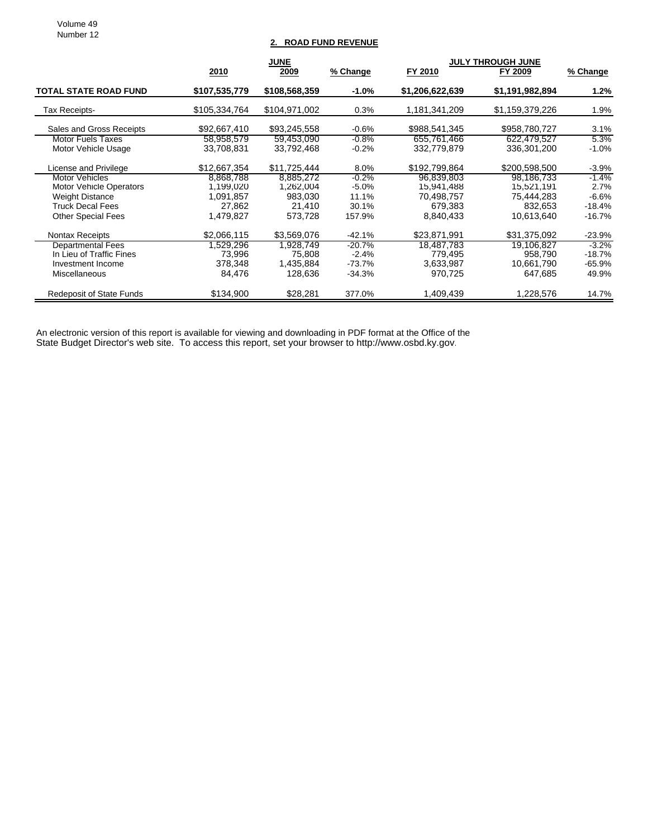Volume 49 Number 12

### **2. ROAD FUND REVENUE**

|                                 | <b>JUNE</b>   |               |          | <b>JULY THROUGH JUNE</b> |                 |          |
|---------------------------------|---------------|---------------|----------|--------------------------|-----------------|----------|
|                                 | 2010          | 2009          | % Change | FY 2010                  | FY 2009         | % Change |
| <b>TOTAL STATE ROAD FUND</b>    | \$107,535,779 | \$108,568,359 | $-1.0%$  | \$1,206,622,639          | \$1,191,982,894 | $1.2\%$  |
| Tax Receipts-                   | \$105,334,764 | \$104,971,002 | 0.3%     | 1,181,341,209            | \$1,159,379,226 | 1.9%     |
| Sales and Gross Receipts        | \$92,667,410  | \$93,245,558  | $-0.6%$  | \$988,541,345            | \$958,780,727   | 3.1%     |
| <b>Motor Fuels Taxes</b>        | 58,958,579    | 59,453,090    | $-0.8%$  | 655,761,466              | 622,479,527     | 5.3%     |
| Motor Vehicle Usage             | 33,708,831    | 33,792,468    | $-0.2%$  | 332.779.879              | 336,301,200     | $-1.0%$  |
| License and Privilege           | \$12,667,354  | \$11,725,444  | 8.0%     | \$192,799,864            | \$200,598,500   | $-3.9%$  |
| <b>Motor Vehicles</b>           | 8,868,788     | 8.885.272     | $-0.2%$  | 96,839,803               | 98,186,733      | $-1.4\%$ |
| <b>Motor Vehicle Operators</b>  | 1.199.020     | 1.262.004     | $-5.0%$  | 15,941,488               | 15,521,191      | 2.7%     |
| <b>Weight Distance</b>          | 1,091,857     | 983,030       | 11.1%    | 70,498,757               | 75,444,283      | $-6.6%$  |
| <b>Truck Decal Fees</b>         | 27.862        | 21.410        | 30.1%    | 679.383                  | 832.653         | $-18.4%$ |
| <b>Other Special Fees</b>       | 1.479.827     | 573,728       | 157.9%   | 8,840,433                | 10.613.640      | -16.7%   |
| <b>Nontax Receipts</b>          | \$2,066,115   | \$3,569,076   | $-42.1%$ | \$23,871,991             | \$31,375,092    | $-23.9%$ |
| <b>Departmental Fees</b>        | 1,529,296     | 1,928,749     | $-20.7%$ | 18,487,783               | 19,106,827      | $-3.2\%$ |
| In Lieu of Traffic Fines        | 73,996        | 75.808        | $-2.4%$  | 779.495                  | 958.790         | $-18.7%$ |
| Investment Income               | 378,348       | 1,435,884     | $-73.7%$ | 3,633,987                | 10.661,790      | $-65.9%$ |
| Miscellaneous                   | 84,476        | 128,636       | $-34.3%$ | 970,725                  | 647,685         | 49.9%    |
| <b>Redeposit of State Funds</b> | \$134,900     | \$28,281      | 377.0%   | 1,409,439                | 1,228,576       | 14.7%    |

An electronic version of this report is available for viewing and downloading in PDF format at the Office of the State Budget Director's web site. To access this report, set your browser to http://www.osbd.ky.gov.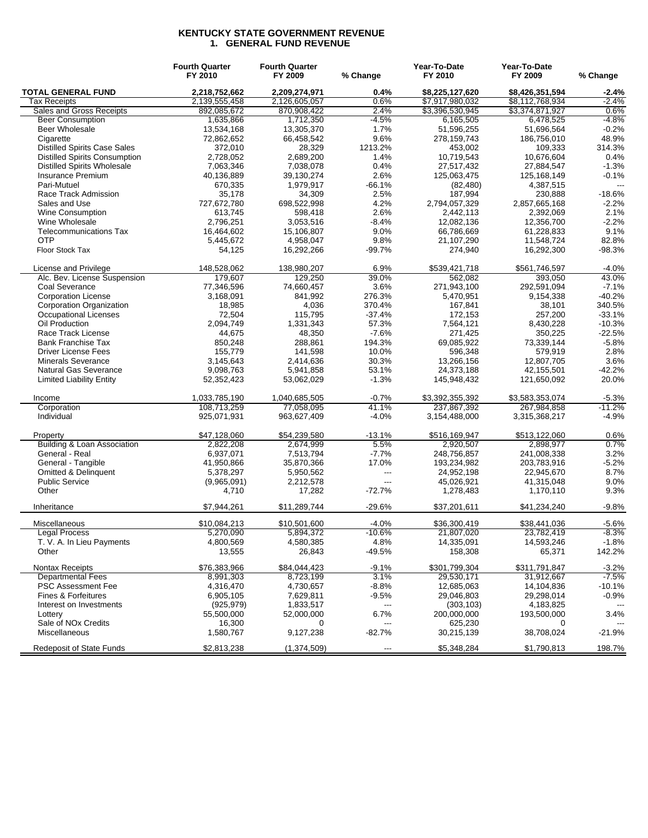#### **KENTUCKY STATE GOVERNMENT REVENUE 1. GENERAL FUND REVENUE**

|                                      | <b>Fourth Quarter</b><br>FY 2010 | <b>Fourth Quarter</b><br>FY 2009 | % Change                 | Year-To-Date<br>FY 2010        | Year-To-Date<br>FY 2009        | % Change            |
|--------------------------------------|----------------------------------|----------------------------------|--------------------------|--------------------------------|--------------------------------|---------------------|
| <b>TOTAL GENERAL FUND</b>            | 2,218,752,662                    | 2,209,274,971                    | 0.4%                     | \$8,225,127,620                | \$8,426,351,594                | $-2.4%$             |
| Tax Receipts                         | 2,139,555,458                    | 2,126,605,057                    | 0.6%                     | \$7,917,980,032                | \$8,112,768,934                | $-2.4%$             |
| Sales and Gross Receipts             | 892,085,672                      | 870,908,422                      | 2.4%                     | \$3,396,530,945                | \$3,374,871,927                | 0.6%                |
| <b>Beer Consumption</b>              | 1,635,866                        | 1,712,350                        | $-4.5%$                  | 6,165,505                      | 6,478,525                      | $-4.8%$             |
| <b>Beer Wholesale</b>                | 13,534,168                       | 13,305,370                       | 1.7%                     | 51,596,255                     | 51,696,564                     | $-0.2%$             |
| Cigarette                            | 72,862,652                       | 66,458,542                       | 9.6%                     | 278,159,743                    | 186,756,010                    | 48.9%               |
| <b>Distilled Spirits Case Sales</b>  | 372,010                          | 28,329                           | 1213.2%                  | 453,002                        | 109,333                        | 314.3%              |
| <b>Distilled Spirits Consumption</b> | 2,728,052                        | 2,689,200                        | 1.4%                     | 10,719,543                     | 10,676,604                     | 0.4%                |
| <b>Distilled Spirits Wholesale</b>   | 7,063,346                        | 7,038,078                        | 0.4%                     | 27,517,432                     | 27,884,547                     | $-1.3%$             |
| Insurance Premium                    | 40,136,889                       | 39,130,274                       | 2.6%                     | 125,063,475                    | 125,168,149                    | $-0.1%$             |
| Pari-Mutuel                          | 670,335                          | 1,979,917                        | $-66.1%$                 | (82, 480)                      | 4,387,515                      | $\overline{a}$      |
| Race Track Admission                 | 35,178                           | 34,309                           | 2.5%                     | 187,994                        | 230,888                        | $-18.6%$            |
| Sales and Use                        | 727,672,780                      | 698,522,998                      | 4.2%                     | 2,794,057,329                  | 2,857,665,168                  | $-2.2%$             |
|                                      | 613,745                          |                                  |                          | 2,442,113                      | 2,392,069                      | 2.1%                |
| Wine Consumption                     |                                  | 598,418                          | 2.6%                     |                                |                                |                     |
| Wine Wholesale                       | 2,796,251                        | 3,053,516                        | $-8.4%$                  | 12,082,136                     | 12,356,700                     | $-2.2%$             |
| <b>Telecommunications Tax</b>        | 16,464,602                       | 15,106,807                       | 9.0%                     | 66,786,669                     | 61,228,833                     | 9.1%                |
| <b>OTP</b>                           | 5,445,672                        | 4,958,047                        | 9.8%                     | 21,107,290                     | 11,548,724                     | 82.8%               |
| Floor Stock Tax                      | 54,125                           | 16,292,266                       | $-99.7%$                 | 274,940                        | 16,292,300                     | $-98.3%$            |
| License and Privilege                | 148,528,062                      | 138,980,207                      | 6.9%                     | \$539,421,718                  | \$561,746,597                  | $-4.0%$             |
| Alc. Bev. License Suspension         | 179,607                          | 129,250                          | 39.0%                    | 562,082                        | 393,050                        | 43.0%               |
| <b>Coal Severance</b>                | 77,346,596                       | 74,660,457                       | 3.6%                     | 271,943,100                    | 292,591,094                    | $-7.1%$             |
| <b>Corporation License</b>           | 3,168,091                        | 841.992                          | 276.3%                   | 5,470,951                      | 9,154,338                      | $-40.2%$            |
| Corporation Organization             | 18,985                           | 4,036                            | 370.4%                   | 167,841                        | 38,101                         | 340.5%              |
| <b>Occupational Licenses</b>         | 72,504                           | 115,795                          | $-37.4%$                 | 172,153                        | 257,200                        | $-33.1%$            |
| Oil Production                       | 2,094,749                        | 1,331,343                        | 57.3%                    | 7,564,121                      | 8,430,228                      | $-10.3%$            |
| Race Track License                   | 44,675                           | 48,350                           | $-7.6%$                  | 271,425                        | 350.225                        | $-22.5%$            |
| <b>Bank Franchise Tax</b>            | 850,248                          | 288,861                          | 194.3%                   | 69,085,922                     | 73,339,144                     | $-5.8%$             |
| <b>Driver License Fees</b>           | 155,779                          | 141,598                          | 10.0%                    | 596,348                        | 579,919                        | 2.8%                |
| <b>Minerals Severance</b>            | 3,145,643                        | 2,414,636                        | 30.3%                    | 13,266,156                     | 12,807,705                     | 3.6%                |
| Natural Gas Severance                | 9,098,763                        | 5,941,858                        | 53.1%                    | 24,373,188                     | 42,155,501                     | $-42.2%$            |
| <b>Limited Liability Entity</b>      | 52,352,423                       | 53,062,029                       | $-1.3%$                  | 145,948,432                    | 121,650,092                    | 20.0%               |
|                                      |                                  |                                  |                          |                                |                                |                     |
| Income<br>Corporation                | 1,033,785,190<br>108,713,259     | 1,040,685,505<br>77,058,095      | $-0.7%$<br>41.1%         | \$3,392,355,392<br>237,867,392 | \$3,583,353,074<br>267,984,858 | $-5.3%$<br>$-11.2%$ |
| Individual                           | 925,071,931                      | 963,627,409                      | $-4.0%$                  | 3,154,488,000                  | 3,315,368,217                  | $-4.9%$             |
| Property                             | \$47,128,060                     | \$54,239,580                     | $-13.1%$                 | \$516,169,947                  | \$513,122,060                  | 0.6%                |
| Building & Loan Association          | 2,822,208                        |                                  | 5.5%                     | 2,920,507                      |                                | 0.7%                |
|                                      |                                  | 2,674,999                        |                          |                                | 2,898,977                      |                     |
| General - Real                       | 6,937,071                        | 7,513,794                        | $-7.7%$                  | 248,756,857                    | 241,008,338                    | 3.2%                |
| General - Tangible                   | 41,950,866                       | 35,870,366                       | 17.0%                    | 193,234,982                    | 203,783,916                    | $-5.2%$             |
| <b>Omitted &amp; Delinquent</b>      | 5,378,297                        | 5,950,562                        | $---$                    | 24,952,198                     | 22,945,670                     | 8.7%                |
| <b>Public Service</b>                | (9,965,091)                      | 2,212,578                        | $---$                    | 45,026,921                     | 41,315,048                     | 9.0%                |
| Other                                | 4,710                            | 17,282                           | $-72.7%$                 | 1,278,483                      | 1,170,110                      | 9.3%                |
| Inheritance                          | \$7,944,261                      | \$11,289,744                     | $-29.6%$                 | \$37,201,611                   | \$41,234,240                   | $-9.8%$             |
| Miscellaneous                        | \$10,084,213                     | \$10,501,600                     | $-4.0%$                  | \$36,300,419                   | \$38,441,036                   | $-5.6%$             |
| <b>Legal Process</b>                 | 5,270,090                        | 5,894,372                        | $-10.6%$                 | 21,807,020                     | 23,782,419                     | $-8.3%$             |
| T. V. A. In Lieu Payments            | 4,800,569                        | 4,580,385                        | 4.8%                     | 14,335,091                     | 14,593,246                     | $-1.8%$             |
| Other                                | 13,555                           | 26,843                           | $-49.5%$                 | 158,308                        | 65,371                         | 142.2%              |
| Nontax Receipts                      | \$76,383,966                     | \$84,044,423                     | $-9.1%$                  | \$301,799,304                  | \$311,791,847                  | $-3.2%$             |
| <b>Departmental Fees</b>             | 8,991,303                        | 8,723,199                        | 3.1%                     | 29,530,171                     | 31,912,667                     | $-7.5%$             |
| <b>PSC Assessment Fee</b>            | 4,316,470                        | 4,730,657                        | $-8.8%$                  | 12,685,063                     | 14,104,836                     | $-10.1%$            |
| Fines & Forfeitures                  | 6,905,105                        | 7,629,811                        | $-9.5%$                  | 29,046,803                     | 29,298,014                     | $-0.9%$             |
| Interest on Investments              | (925, 979)                       | 1,833,517                        | $\overline{\phantom{a}}$ | (303, 103)                     | 4,183,825                      |                     |
| Lottery                              | 55,500,000                       | 52,000,000                       | 6.7%                     | 200,000,000                    | 193,500,000                    | 3.4%                |
| Sale of NO <sub>x</sub> Credits      | 16,300                           | 0                                | ---                      | 625,230                        | 0                              |                     |
| Miscellaneous                        | 1,580,767                        | 9,127,238                        | $-82.7%$                 | 30,215,139                     | 38,708,024                     | $-21.9%$            |
| <b>Redeposit of State Funds</b>      | \$2,813,238                      | (1,374,509)                      | ---                      | \$5,348,284                    | \$1,790,813                    | 198.7%              |